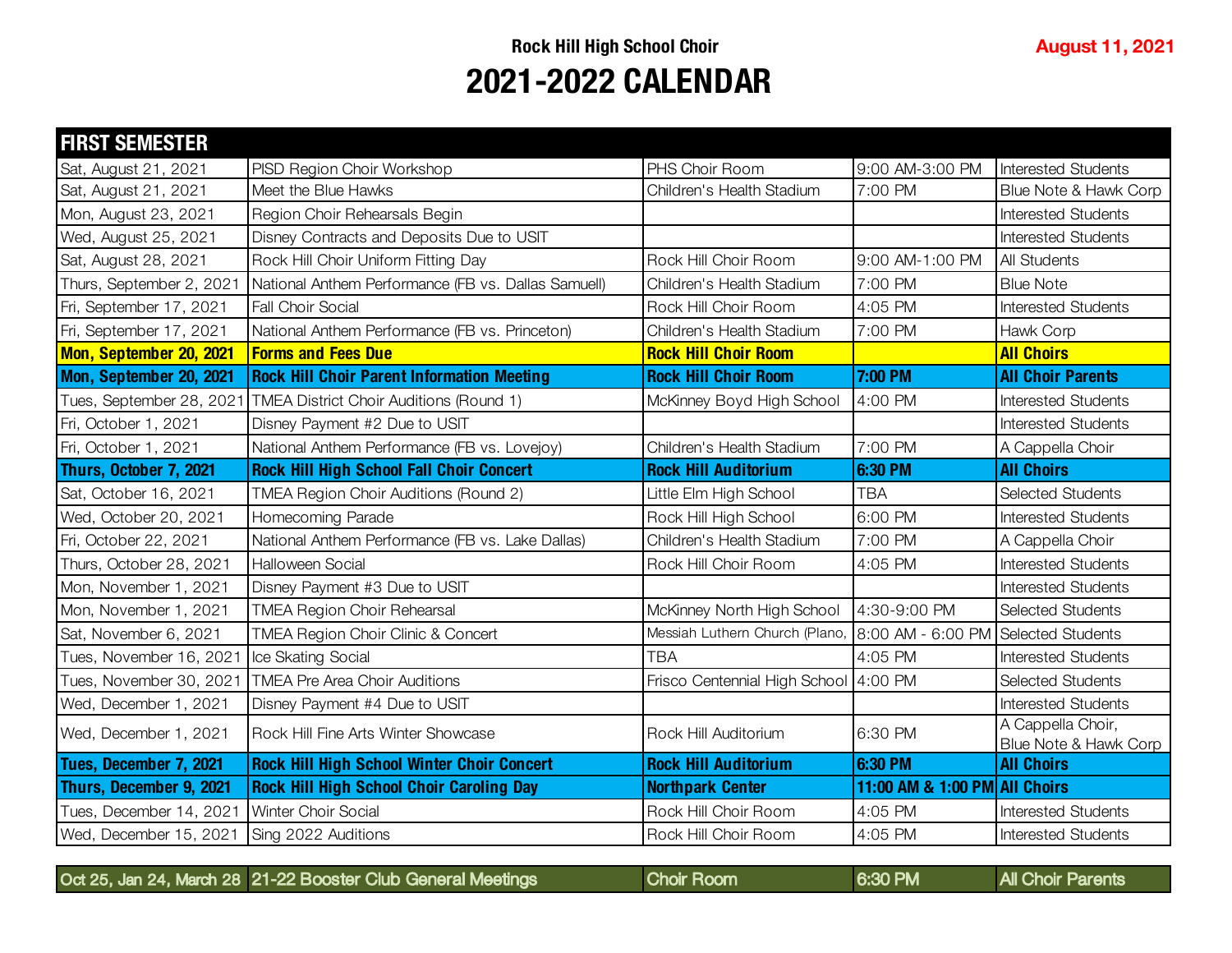| <b>FIRST SEMESTER</b>    |                                                     |                                       |                                     |                                            |
|--------------------------|-----------------------------------------------------|---------------------------------------|-------------------------------------|--------------------------------------------|
| Sat, August 21, 2021     | PISD Region Choir Workshop                          | PHS Choir Room                        | 9:00 AM-3:00 PM                     | <b>Interested Students</b>                 |
| Sat, August 21, 2021     | Meet the Blue Hawks                                 | Children's Health Stadium             | 7:00 PM                             | Blue Note & Hawk Corp                      |
| Mon, August 23, 2021     | Region Choir Rehearsals Begin                       |                                       |                                     | <b>Interested Students</b>                 |
| Wed, August 25, 2021     | Disney Contracts and Deposits Due to USIT           |                                       |                                     | <b>Interested Students</b>                 |
| Sat, August 28, 2021     | Rock Hill Choir Uniform Fitting Day                 | Rock Hill Choir Room                  | 9:00 AM-1:00 PM                     | All Students                               |
| Thurs, September 2, 202  | National Anthem Performance (FB vs. Dallas Samuell) | Children's Health Stadium             | 7:00 PM                             | <b>Blue Note</b>                           |
| Fri, September 17, 2021  | <b>Fall Choir Social</b>                            | Rock Hill Choir Room                  | 4:05 PM                             | <b>Interested Students</b>                 |
| Fri, September 17, 2021  | National Anthem Performance (FB vs. Princeton)      | Children's Health Stadium             | 7:00 PM                             | Hawk Corp                                  |
| Mon, September 20, 2021  | <b>Forms and Fees Due</b>                           | <b>Rock Hill Choir Room</b>           |                                     | <b>All Choirs</b>                          |
| Mon, September 20, 2021  | <b>Rock Hill Choir Parent Information Meeting</b>   | <b>Rock Hill Choir Room</b>           | 7:00 PM                             | <b>All Choir Parents</b>                   |
| Tues, September 28, 2021 | TMEA District Choir Auditions (Round 1)             | McKinney Boyd High School             | 4:00 PM                             | <b>Interested Students</b>                 |
| Fri, October 1, 2021     | Disney Payment #2 Due to USIT                       |                                       |                                     | <b>Interested Students</b>                 |
| Fri, October 1, 2021     | National Anthem Performance (FB vs. Lovejoy)        | Children's Health Stadium             | 7:00 PM                             | A Cappella Choir                           |
| Thurs, October 7, 2021   | <b>Rock Hill High School Fall Choir Concert</b>     | <b>Rock Hill Auditorium</b>           | 6:30 PM                             | <b>All Choirs</b>                          |
| Sat, October 16, 2021    | TMEA Region Choir Auditions (Round 2)               | Little Elm High School                | <b>TBA</b>                          | <b>Selected Students</b>                   |
| Wed, October 20, 2021    | Homecoming Parade                                   | Rock Hill High School                 | 6:00 PM                             | <b>Interested Students</b>                 |
| Fri, October 22, 2021    | National Anthem Performance (FB vs. Lake Dallas)    | Children's Health Stadium             | 7:00 PM                             | A Cappella Choir                           |
| Thurs, October 28, 2021  | <b>Halloween Social</b>                             | Rock Hill Choir Room                  | 4:05 PM                             | <b>Interested Students</b>                 |
| Mon, November 1, 2021    | Disney Payment #3 Due to USIT                       |                                       |                                     | <b>Interested Students</b>                 |
| Mon, November 1, 2021    | <b>TMEA Region Choir Rehearsal</b>                  | McKinney North High School            | 4:30-9:00 PM                        | <b>Selected Students</b>                   |
| Sat, November 6, 2021    | TMEA Region Choir Clinic & Concert                  | Messiah Luthern Church (Plano,        | 8:00 AM - 6:00 PM Selected Students |                                            |
| Tues, November 16, 202-  | Ice Skating Social                                  | <b>TBA</b>                            | 4:05 PM                             | <b>Interested Students</b>                 |
| Tues, November 30, 2021  | <b>TMEA Pre Area Choir Auditions</b>                | Frisco Centennial High School 4:00 PM |                                     | <b>Selected Students</b>                   |
| Wed, December 1, 2021    | Disney Payment #4 Due to USIT                       |                                       |                                     | <b>Interested Students</b>                 |
| Wed, December 1, 2021    | Rock Hill Fine Arts Winter Showcase                 | Rock Hill Auditorium                  | 6:30 PM                             | A Cappella Choir,<br>Blue Note & Hawk Corp |
| Tues, December 7, 2021   | <b>Rock Hill High School Winter Choir Concert</b>   | <b>Rock Hill Auditorium</b>           | 6:30 PM                             | <b>All Choirs</b>                          |
| Thurs, December 9, 2021  | <b>Rock Hill High School Choir Caroling Day</b>     | <b>Northpark Center</b>               | 11:00 AM & 1:00 PM All Choirs       |                                            |
| Tues, December 14, 2021  | Winter Choir Social                                 | Rock Hill Choir Room                  | 4:05 PM                             | <b>Interested Students</b>                 |
| Wed, December 15, 2021   | Sing 2022 Auditions                                 | Rock Hill Choir Room                  | 4:05 PM                             | <b>Interested Students</b>                 |

Oct 25, Jan 24, March 28 21-22 Booster Club General Meetings Choir Room 6:30 PM All Choir Parents